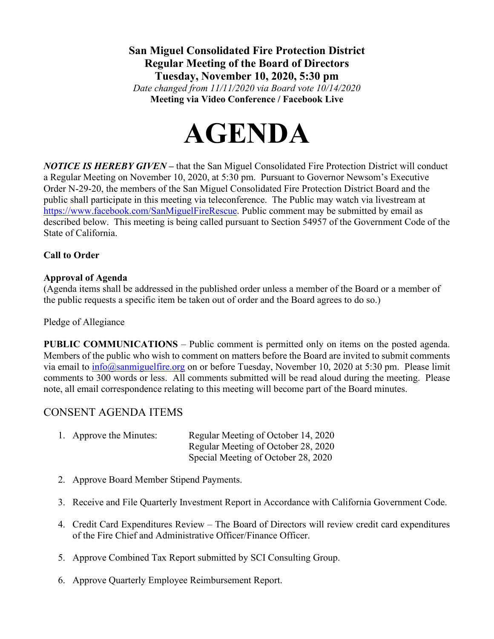**San Miguel Consolidated Fire Protection District Regular Meeting of the Board of Directors Tuesday, November 10, 2020, 5:30 pm**

*Date changed from 11/11/2020 via Board vote 10/14/2020* **Meeting via Video Conference / Facebook Live**



*NOTICE IS HEREBY GIVEN* **–** that the San Miguel Consolidated Fire Protection District will conduct a Regular Meeting on November 10, 2020, at 5:30 pm. Pursuant to Governor Newsom's Executive Order N-29-20, the members of the San Miguel Consolidated Fire Protection District Board and the public shall participate in this meeting via teleconference. The Public may watch via livestream at [https://www.facebook.com/SanMiguelFireRescue.](https://www.facebook.com/SanMiguelFireRescue) Public comment may be submitted by email as described below. This meeting is being called pursuant to Section 54957 of the Government Code of the State of California.

### **Call to Order**

### **Approval of Agenda**

(Agenda items shall be addressed in the published order unless a member of the Board or a member of the public requests a specific item be taken out of order and the Board agrees to do so.)

Pledge of Allegiance

**PUBLIC COMMUNICATIONS** – Public comment is permitted only on items on the posted agenda. Members of the public who wish to comment on matters before the Board are invited to submit comments via email to [info@sanmiguelfire.org](mailto:info@sanmiguelfire.org) on or before Tuesday, November 10, 2020 at 5:30 pm. Please limit comments to 300 words or less. All comments submitted will be read aloud during the meeting. Please note, all email correspondence relating to this meeting will become part of the Board minutes.

# CONSENT AGENDA ITEMS

|  | 1. Approve the Minutes: | Regular Meeting of October 14, 2020 |
|--|-------------------------|-------------------------------------|
|  |                         | Regular Meeting of October 28, 2020 |
|  |                         | Special Meeting of October 28, 2020 |

- 2. Approve Board Member Stipend Payments.
- 3. Receive and File Quarterly Investment Report in Accordance with California Government Code.
- 4. Credit Card Expenditures Review The Board of Directors will review credit card expenditures of the Fire Chief and Administrative Officer/Finance Officer.
- 5. Approve Combined Tax Report submitted by SCI Consulting Group.
- 6. Approve Quarterly Employee Reimbursement Report.